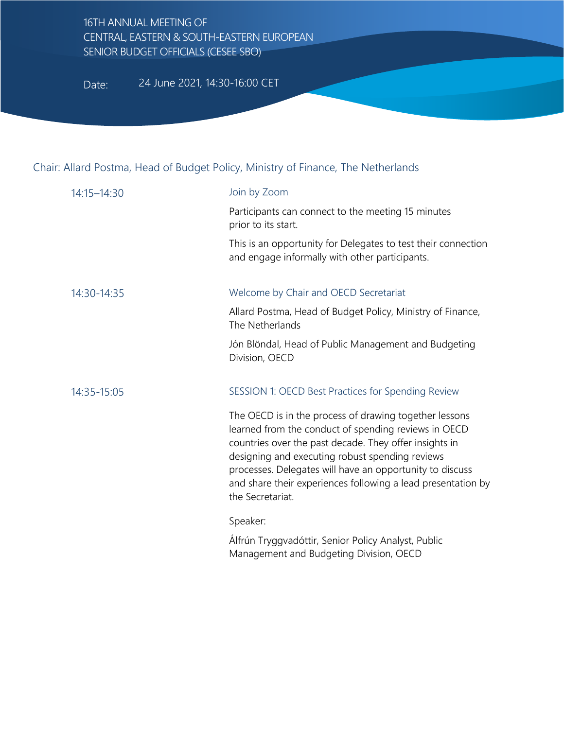## 16TH ANNUAL MEETING OF CENTRAL, EASTERN & SOUTH-EASTERN EUROPEAN SENIOR BUDGET OFFICIALS (CESEE SBO)

Date: 24 June 2021, 14:30-16:00 CET

## Chair: Allard Postma, Head of Budget Policy, Ministry of Finance, The Netherlands

| 14:15-14:30 | Join by Zoom                                                                                                                                                                                                                                                                                                                                                                |
|-------------|-----------------------------------------------------------------------------------------------------------------------------------------------------------------------------------------------------------------------------------------------------------------------------------------------------------------------------------------------------------------------------|
|             | Participants can connect to the meeting 15 minutes<br>prior to its start.                                                                                                                                                                                                                                                                                                   |
|             | This is an opportunity for Delegates to test their connection<br>and engage informally with other participants.                                                                                                                                                                                                                                                             |
| 14:30-14:35 | Welcome by Chair and OECD Secretariat                                                                                                                                                                                                                                                                                                                                       |
|             | Allard Postma, Head of Budget Policy, Ministry of Finance,<br>The Netherlands                                                                                                                                                                                                                                                                                               |
|             | Jón Blöndal, Head of Public Management and Budgeting<br>Division, OECD                                                                                                                                                                                                                                                                                                      |
| 14:35-15:05 | SESSION 1: OECD Best Practices for Spending Review                                                                                                                                                                                                                                                                                                                          |
|             | The OECD is in the process of drawing together lessons<br>learned from the conduct of spending reviews in OECD<br>countries over the past decade. They offer insights in<br>designing and executing robust spending reviews<br>processes. Delegates will have an opportunity to discuss<br>and share their experiences following a lead presentation by<br>the Secretariat. |
|             | Speaker:                                                                                                                                                                                                                                                                                                                                                                    |
|             | Álfrún Tryggvadóttir, Senior Policy Analyst, Public<br>Management and Budgeting Division, OECD                                                                                                                                                                                                                                                                              |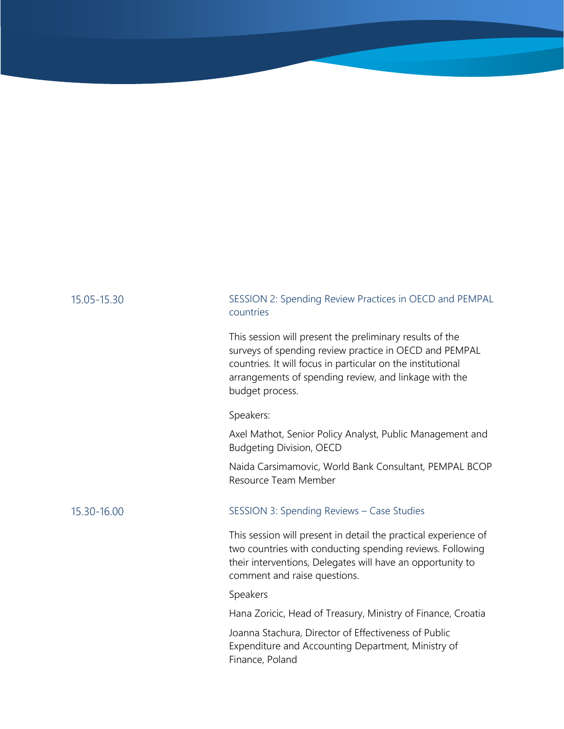## 15.05-15.30 SESSION 2: Spending Review Practices in OECD and PEMPAL countries This session will present the preliminary results of the surveys of spending review practice in OECD and PEMPAL countries. It will focus in particular on the institutional arrangements of spending review, and linkage with the budget process. Speakers: Axel Mathot, Senior Policy Analyst, Public Management and Budgeting Division, OECD • Naida Carsimamovic, World Bank Consultant, PEMPAL BCOP Resource Team Member 15.30-16.00 SESSION 3: Spending Reviews – Case Studies This session will present in detail the practical experience of two countries with conducting spending reviews. Following their interventions, Delegates will have an opportunity to comment and raise questions. Speakers • Hana Zoricic, Head of Treasury, Ministry of Finance, Croatia • Joanna Stachura, Director of Effectiveness of Public Expenditure and Accounting Department, Ministry of Finance, Poland